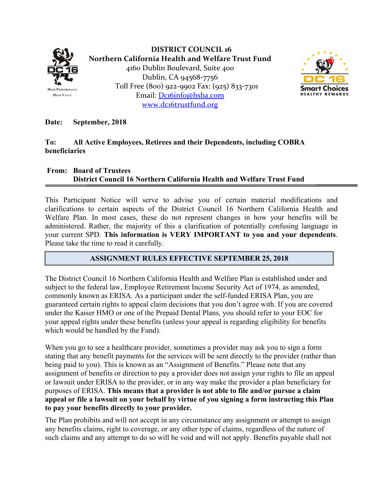

**DISTRICT COUNCIL 16 Northern California Health and Welfare Trust Fund** 4160 Dublin Boulevard, Suite 400 Dublin, CA 94568‐7756 Toll Free (800) 922‐9902 Fax: (925) 833‐7301 Email: Dc16info@hsba.com www.dc16trustfund.org



**Date: September, 2018** 

## **To: All Active Employees, Retirees and their Dependents, including COBRA beneficiaries**

## **From: Board of Trustees District Council 16 Northern California Health and Welfare Trust Fund**

This Participant Notice will serve to advise you of certain material modifications and clarifications to certain aspects of the District Council 16 Northern California Health and Welfare Plan. In most cases, these do not represent changes in how your benefits will be administered. Rather, the majority of this a clarification of potentially confusing language in your current SPD. **This information is VERY IMPORTANT to you and your dependents**. Please take the time to read it carefully.

## **ASSIGNMENT RULES EFFECTIVE SEPTEMBER 25, 2018**

The District Council 16 Northern California Health and Welfare Plan is established under and subject to the federal law, Employee Retirement Income Security Act of 1974, as amended, commonly known as ERISA. As a participant under the self-funded ERISA Plan, you are guaranteed certain rights to appeal claim decisions that you don't agree with. If you are covered under the Kaiser HMO or one of the Prepaid Dental Plans, you should refer to your EOC for your appeal rights under these benefits (unless your appeal is regarding eligibility for benefits which would be handled by the Fund).

When you go to see a healthcare provider, sometimes a provider may ask you to sign a form stating that any benefit payments for the services will be sent directly to the provider (rather than being paid to you). This is known as an "Assignment of Benefits." Please note that any assignment of benefits or direction to pay a provider does not assign your rights to file an appeal or lawsuit under ERISA to the provider, or in any way make the provider a plan beneficiary for purposes of ERISA. **This means that a provider is not able to file and/or pursue a claim appeal or file a lawsuit on your behalf by virtue of you signing a form instructing this Plan to pay your benefits directly to your provider.** 

The Plan prohibits and will not accept in any circumstance any assignment or attempt to assign any benefits claims, right to coverage, or any other type of claims, regardless of the nature of such claims and any attempt to do so will be void and will not apply. Benefits payable shall not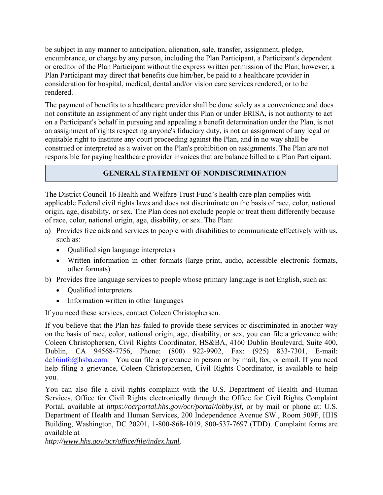be subject in any manner to anticipation, alienation, sale, transfer, assignment, pledge, encumbrance, or charge by any person, including the Plan Participant, a Participant's dependent or creditor of the Plan Participant without the express written permission of the Plan; however, a Plan Participant may direct that benefits due him/her, be paid to a healthcare provider in consideration for hospital, medical, dental and/or vision care services rendered, or to be rendered.

The payment of benefits to a healthcare provider shall be done solely as a convenience and does not constitute an assignment of any right under this Plan or under ERISA, is not authority to act on a Participant's behalf in pursuing and appealing a benefit determination under the Plan, is not an assignment of rights respecting anyone's fiduciary duty, is not an assignment of any legal or equitable right to institute any court proceeding against the Plan, and in no way shall be construed or interpreted as a waiver on the Plan's prohibition on assignments. The Plan are not responsible for paying healthcare provider invoices that are balance billed to a Plan Participant.

## **GENERAL STATEMENT OF NONDISCRIMINATION**

The District Council 16 Health and Welfare Trust Fund's health care plan complies with applicable Federal civil rights laws and does not discriminate on the basis of race, color, national origin, age, disability, or sex. The Plan does not exclude people or treat them differently because of race, color, national origin, age, disability, or sex. The Plan:

- a) Provides free aids and services to people with disabilities to communicate effectively with us, such as:
	- Qualified sign language interpreters
	- Written information in other formats (large print, audio, accessible electronic formats, other formats)
- b) Provides free language services to people whose primary language is not English, such as:
	- Qualified interpreters
	- Information written in other languages

If you need these services, contact Coleen Christophersen.

If you believe that the Plan has failed to provide these services or discriminated in another way on the basis of race, color, national origin, age, disability, or sex, you can file a grievance with: Coleen Christophersen, Civil Rights Coordinator, HS&BA, 4160 Dublin Boulevard, Suite 400, Dublin, CA 94568-7756, Phone: (800) 922-9902, Fax: (925) 833-7301, E-mail: dc16info@hsba.com. You can file a grievance in person or by mail, fax, or email. If you need help filing a grievance, Coleen Christophersen, Civil Rights Coordinator, is available to help you.

You can also file a civil rights complaint with the U.S. Department of Health and Human Services, Office for Civil Rights electronically through the Office for Civil Rights Complaint Portal, available at *https://ocrportal.hhs.gov/ocr/portal/lobby.jsf,* or by mail or phone at: U.S. Department of Health and Human Services, 200 Independence Avenue SW., Room 509F, HHS Building, Washington, DC 20201, 1-800-868-1019, 800-537-7697 (TDD). Complaint forms are available at

*http://www.hhs.gov/ocr/office/file/index.html*.